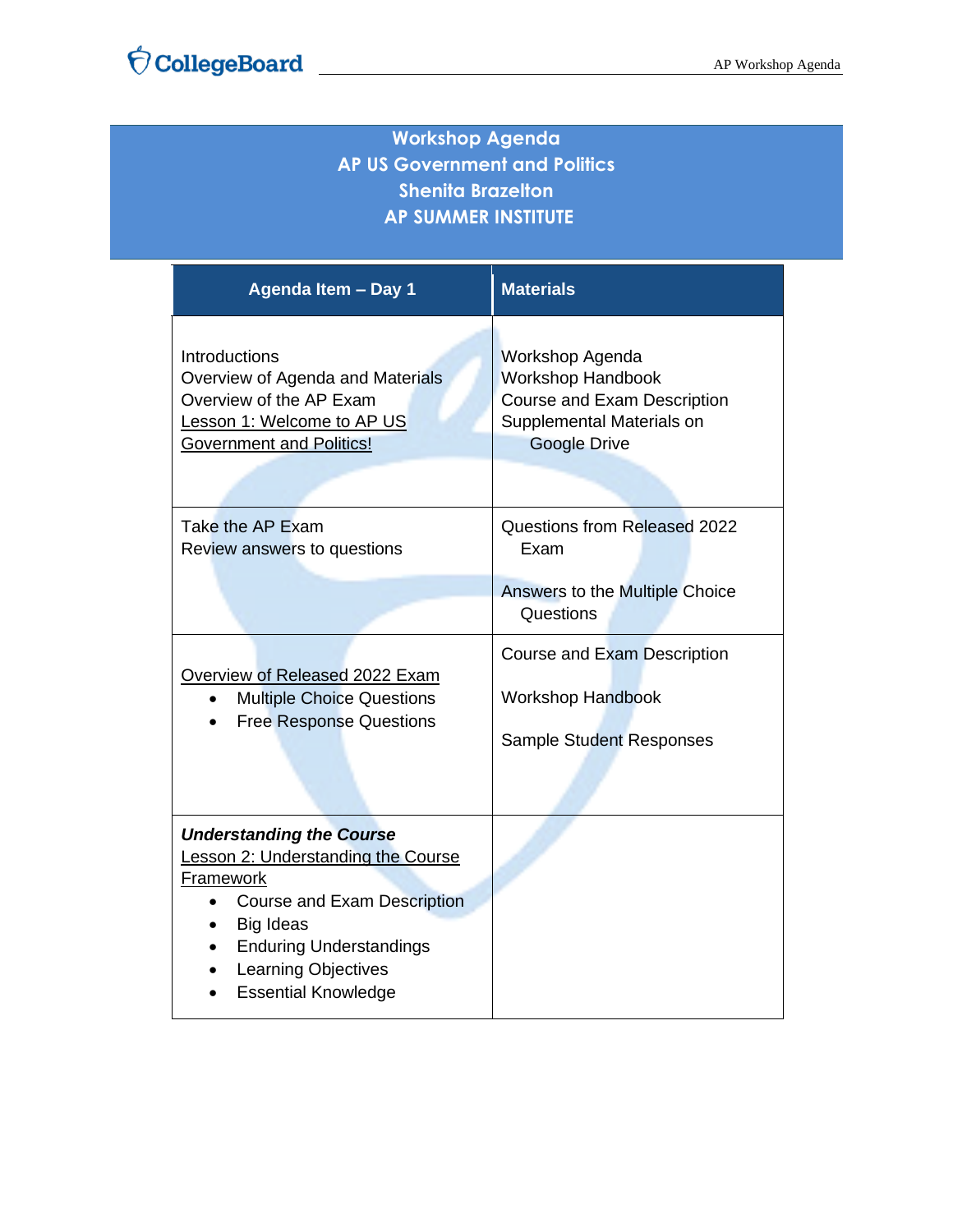| <b>Workshop Agenda</b><br><b>AP US Government and Politics</b><br><b>Shenita Brazelton</b><br><b>AP SUMMER INSTITUTE</b>                                                                                                     |                                                                                                                                |  |
|------------------------------------------------------------------------------------------------------------------------------------------------------------------------------------------------------------------------------|--------------------------------------------------------------------------------------------------------------------------------|--|
| Agenda Item - Day 1                                                                                                                                                                                                          | <b>Materials</b>                                                                                                               |  |
| Introductions<br>Overview of Agenda and Materials<br>Overview of the AP Exam<br>Lesson 1: Welcome to AP US<br><b>Government and Politics!</b>                                                                                | Workshop Agenda<br><b>Workshop Handbook</b><br>Course and Exam Description<br>Supplemental Materials on<br><b>Google Drive</b> |  |
|                                                                                                                                                                                                                              |                                                                                                                                |  |
| Take the AP Exam<br>Review answers to questions                                                                                                                                                                              | Questions from Released 2022<br>Exam                                                                                           |  |
|                                                                                                                                                                                                                              | Answers to the Multiple Choice<br>Questions                                                                                    |  |
| Overview of Released 2022 Exam                                                                                                                                                                                               | Course and Exam Description                                                                                                    |  |
| <b>Multiple Choice Questions</b><br>$\bullet$                                                                                                                                                                                | <b>Workshop Handbook</b>                                                                                                       |  |
| <b>Free Response Questions</b>                                                                                                                                                                                               | <b>Sample Student Responses</b>                                                                                                |  |
|                                                                                                                                                                                                                              |                                                                                                                                |  |
| <b>Understanding the Course</b><br>Lesson 2: Understanding the Course<br>Framework<br><b>Course and Exam Description</b><br>Big Ideas<br><b>Enduring Understandings</b><br>Learning Objectives<br><b>Essential Knowledge</b> |                                                                                                                                |  |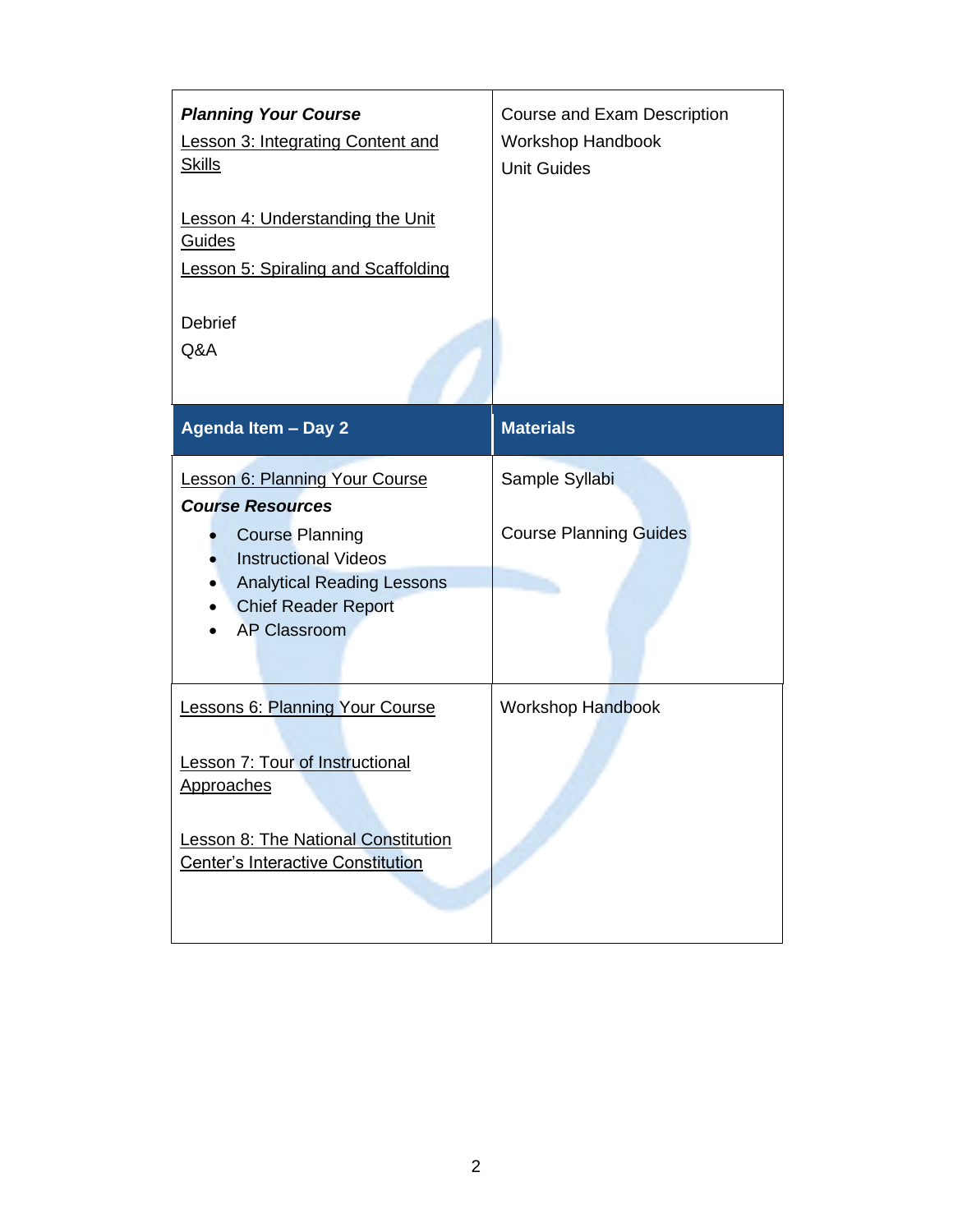| <b>Planning Your Course</b><br><b>Lesson 3: Integrating Content and</b><br><b>Skills</b>                                                                     | <b>Course and Exam Description</b><br>Workshop Handbook<br><b>Unit Guides</b> |
|--------------------------------------------------------------------------------------------------------------------------------------------------------------|-------------------------------------------------------------------------------|
| Lesson 4: Understanding the Unit<br>Guides<br><b>Lesson 5: Spiraling and Scaffolding</b>                                                                     |                                                                               |
| <b>Debrief</b><br>Q&A                                                                                                                                        |                                                                               |
| Agenda Item - Day 2                                                                                                                                          | <b>Materials</b>                                                              |
| <b>Lesson 6: Planning Your Course</b><br><b>Course Resources</b>                                                                                             | Sample Syllabi                                                                |
| <b>Course Planning</b><br><b>Instructional Videos</b><br><b>Analytical Reading Lessons</b><br>$\bullet$<br><b>Chief Reader Report</b><br><b>AP Classroom</b> | <b>Course Planning Guides</b>                                                 |
|                                                                                                                                                              |                                                                               |
| Lessons 6: Planning Your Course                                                                                                                              | <b>Workshop Handbook</b>                                                      |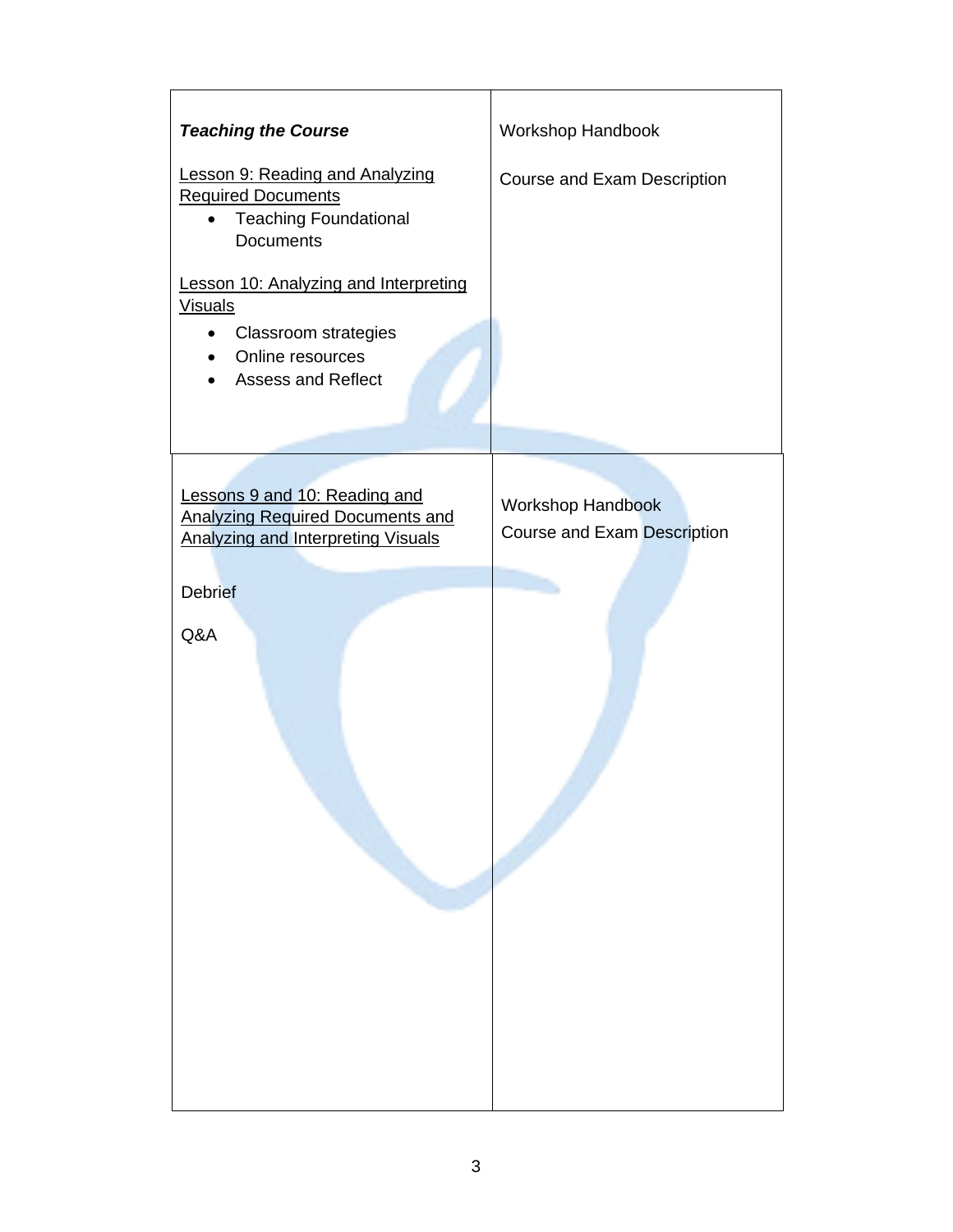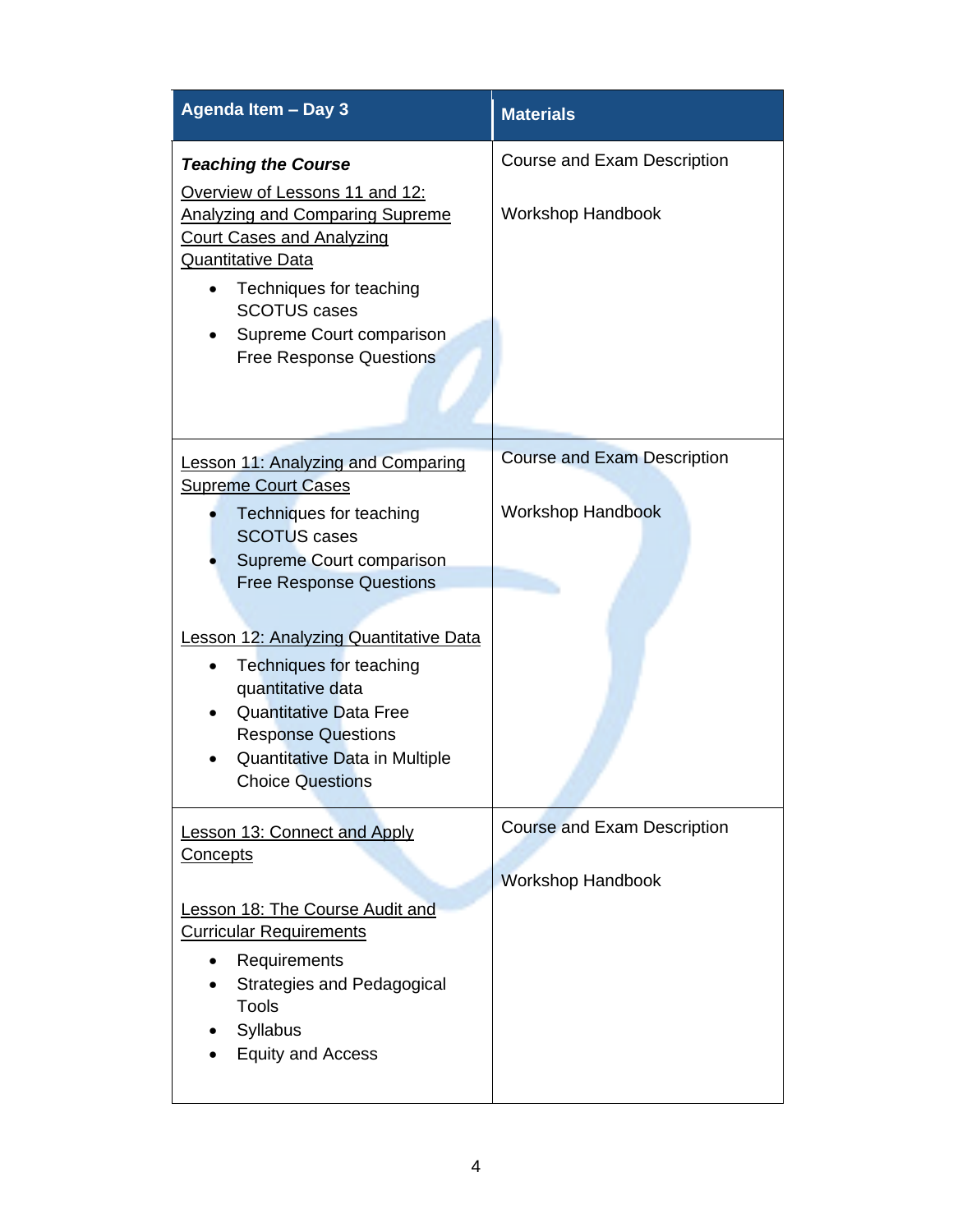| Agenda Item - Day 3                                                                                                                                                                                                                                                                                                                    | <b>Materials</b>                   |
|----------------------------------------------------------------------------------------------------------------------------------------------------------------------------------------------------------------------------------------------------------------------------------------------------------------------------------------|------------------------------------|
| <b>Teaching the Course</b>                                                                                                                                                                                                                                                                                                             | Course and Exam Description        |
| Overview of Lessons 11 and 12:<br><b>Analyzing and Comparing Supreme</b><br><b>Court Cases and Analyzing</b><br><b>Quantitative Data</b><br>Techniques for teaching<br><b>SCOTUS cases</b><br>Supreme Court comparison<br><b>Free Response Questions</b>                                                                               | <b>Workshop Handbook</b>           |
| <b>Lesson 11: Analyzing and Comparing</b><br><b>Supreme Court Cases</b>                                                                                                                                                                                                                                                                | <b>Course and Exam Description</b> |
| Techniques for teaching<br><b>SCOTUS cases</b><br>Supreme Court comparison<br><b>Free Response Questions</b><br><b>Lesson 12: Analyzing Quantitative Data</b><br>Techniques for teaching<br>$\bullet$<br>quantitative data<br><b>Quantitative Data Free</b><br>$\bullet$<br><b>Response Questions</b><br>Quantitative Data in Multiple | <b>Workshop Handbook</b>           |
| <b>Choice Questions</b><br><b>Lesson 13: Connect and Apply</b>                                                                                                                                                                                                                                                                         | <b>Course and Exam Description</b> |
| <b>Concepts</b>                                                                                                                                                                                                                                                                                                                        | <b>Workshop Handbook</b>           |
| <b>Lesson 18: The Course Audit and</b><br><b>Curricular Requirements</b><br>Requirements<br>Strategies and Pedagogical<br><b>Tools</b><br>Syllabus<br><b>Equity and Access</b>                                                                                                                                                         |                                    |